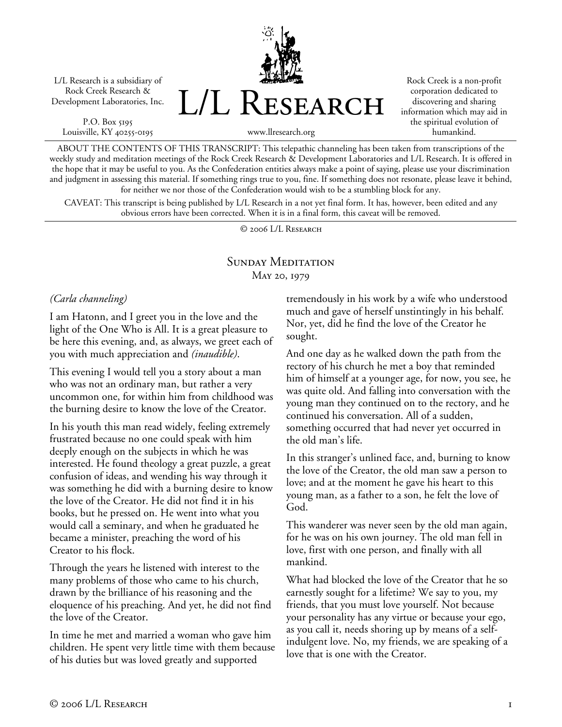L/L Research is a subsidiary of Rock Creek Research & Development Laboratories, Inc.

P.O. Box 5195 Louisville, KY 40255-0195 L/L Research

Rock Creek is a non-profit corporation dedicated to discovering and sharing information which may aid in the spiritual evolution of humankind.

www.llresearch.org

ABOUT THE CONTENTS OF THIS TRANSCRIPT: This telepathic channeling has been taken from transcriptions of the weekly study and meditation meetings of the Rock Creek Research & Development Laboratories and L/L Research. It is offered in the hope that it may be useful to you. As the Confederation entities always make a point of saying, please use your discrimination and judgment in assessing this material. If something rings true to you, fine. If something does not resonate, please leave it behind, for neither we nor those of the Confederation would wish to be a stumbling block for any.

CAVEAT: This transcript is being published by L/L Research in a not yet final form. It has, however, been edited and any obvious errors have been corrected. When it is in a final form, this caveat will be removed.

© 2006 L/L Research

## SUNDAY MEDITATION May 20, 1979

*(Carla channeling)* 

I am Hatonn, and I greet you in the love and the light of the One Who is All. It is a great pleasure to be here this evening, and, as always, we greet each of you with much appreciation and *(inaudible)*.

This evening I would tell you a story about a man who was not an ordinary man, but rather a very uncommon one, for within him from childhood was the burning desire to know the love of the Creator.

In his youth this man read widely, feeling extremely frustrated because no one could speak with him deeply enough on the subjects in which he was interested. He found theology a great puzzle, a great confusion of ideas, and wending his way through it was something he did with a burning desire to know the love of the Creator. He did not find it in his books, but he pressed on. He went into what you would call a seminary, and when he graduated he became a minister, preaching the word of his Creator to his flock.

Through the years he listened with interest to the many problems of those who came to his church, drawn by the brilliance of his reasoning and the eloquence of his preaching. And yet, he did not find the love of the Creator.

In time he met and married a woman who gave him children. He spent very little time with them because of his duties but was loved greatly and supported

tremendously in his work by a wife who understood much and gave of herself unstintingly in his behalf. Nor, yet, did he find the love of the Creator he sought.

And one day as he walked down the path from the rectory of his church he met a boy that reminded him of himself at a younger age, for now, you see, he was quite old. And falling into conversation with the young man they continued on to the rectory, and he continued his conversation. All of a sudden, something occurred that had never yet occurred in the old man's life.

In this stranger's unlined face, and, burning to know the love of the Creator, the old man saw a person to love; and at the moment he gave his heart to this young man, as a father to a son, he felt the love of God.

This wanderer was never seen by the old man again, for he was on his own journey. The old man fell in love, first with one person, and finally with all mankind.

What had blocked the love of the Creator that he so earnestly sought for a lifetime? We say to you, my friends, that you must love yourself. Not because your personality has any virtue or because your ego, as you call it, needs shoring up by means of a selfindulgent love. No, my friends, we are speaking of a love that is one with the Creator.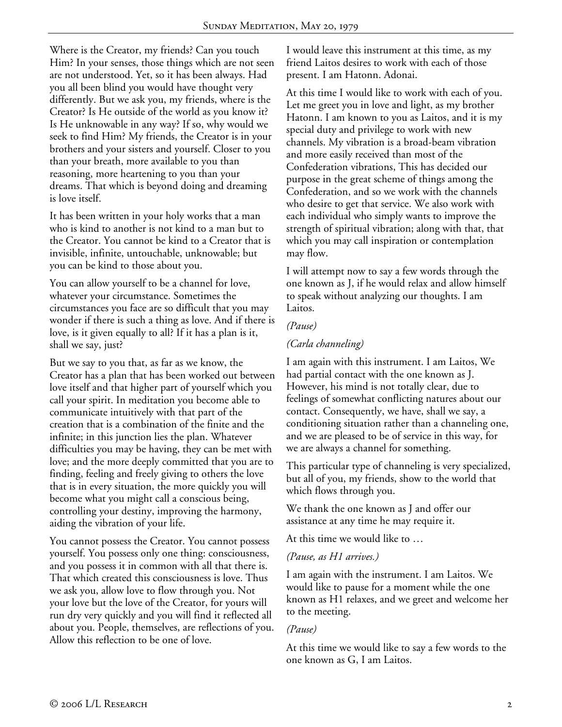Where is the Creator, my friends? Can you touch Him? In your senses, those things which are not seen are not understood. Yet, so it has been always. Had you all been blind you would have thought very differently. But we ask you, my friends, where is the Creator? Is He outside of the world as you know it? Is He unknowable in any way? If so, why would we seek to find Him? My friends, the Creator is in your brothers and your sisters and yourself. Closer to you than your breath, more available to you than reasoning, more heartening to you than your dreams. That which is beyond doing and dreaming is love itself.

It has been written in your holy works that a man who is kind to another is not kind to a man but to the Creator. You cannot be kind to a Creator that is invisible, infinite, untouchable, unknowable; but you can be kind to those about you.

You can allow yourself to be a channel for love, whatever your circumstance. Sometimes the circumstances you face are so difficult that you may wonder if there is such a thing as love. And if there is love, is it given equally to all? If it has a plan is it, shall we say, just?

But we say to you that, as far as we know, the Creator has a plan that has been worked out between love itself and that higher part of yourself which you call your spirit. In meditation you become able to communicate intuitively with that part of the creation that is a combination of the finite and the infinite; in this junction lies the plan. Whatever difficulties you may be having, they can be met with love; and the more deeply committed that you are to finding, feeling and freely giving to others the love that is in every situation, the more quickly you will become what you might call a conscious being, controlling your destiny, improving the harmony, aiding the vibration of your life.

You cannot possess the Creator. You cannot possess yourself. You possess only one thing: consciousness, and you possess it in common with all that there is. That which created this consciousness is love. Thus we ask you, allow love to flow through you. Not your love but the love of the Creator, for yours will run dry very quickly and you will find it reflected all about you. People, themselves, are reflections of you. Allow this reflection to be one of love.

I would leave this instrument at this time, as my friend Laitos desires to work with each of those present. I am Hatonn. Adonai.

At this time I would like to work with each of you. Let me greet you in love and light, as my brother Hatonn. I am known to you as Laitos, and it is my special duty and privilege to work with new channels. My vibration is a broad-beam vibration and more easily received than most of the Confederation vibrations, This has decided our purpose in the great scheme of things among the Confederation, and so we work with the channels who desire to get that service. We also work with each individual who simply wants to improve the strength of spiritual vibration; along with that, that which you may call inspiration or contemplation may flow.

I will attempt now to say a few words through the one known as J, if he would relax and allow himself to speak without analyzing our thoughts. I am Laitos.

### *(Pause)*

## *(Carla channeling)*

I am again with this instrument. I am Laitos, We had partial contact with the one known as J. However, his mind is not totally clear, due to feelings of somewhat conflicting natures about our contact. Consequently, we have, shall we say, a conditioning situation rather than a channeling one, and we are pleased to be of service in this way, for we are always a channel for something.

This particular type of channeling is very specialized, but all of you, my friends, show to the world that which flows through you.

We thank the one known as J and offer our assistance at any time he may require it.

At this time we would like to …

## *(Pause, as H1 arrives.)*

I am again with the instrument. I am Laitos. We would like to pause for a moment while the one known as H1 relaxes, and we greet and welcome her to the meeting.

## *(Pause)*

At this time we would like to say a few words to the one known as G, I am Laitos.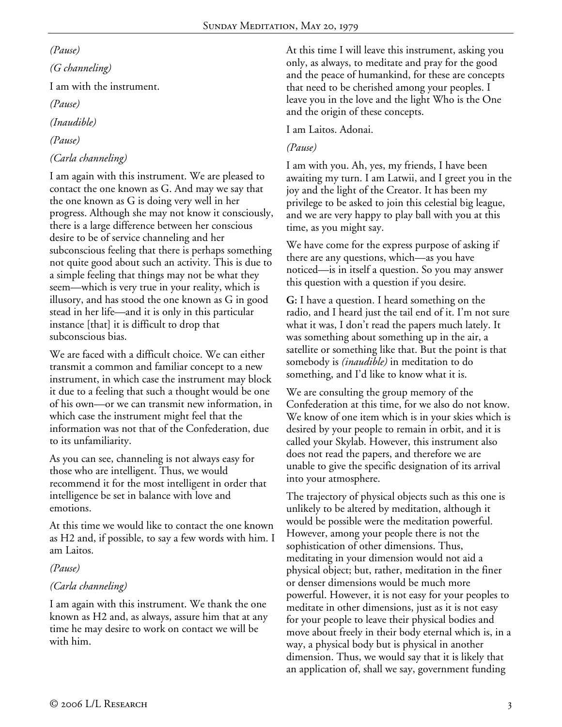### *(Pause)*

# *(G channeling)*  I am with the instrument. *(Pause) (Inaudible)*

## *(Pause)*

# *(Carla channeling)*

I am again with this instrument. We are pleased to contact the one known as G. And may we say that the one known as G is doing very well in her progress. Although she may not know it consciously, there is a large difference between her conscious desire to be of service channeling and her subconscious feeling that there is perhaps something not quite good about such an activity. This is due to a simple feeling that things may not be what they seem—which is very true in your reality, which is illusory, and has stood the one known as G in good stead in her life—and it is only in this particular instance [that] it is difficult to drop that subconscious bias.

We are faced with a difficult choice. We can either transmit a common and familiar concept to a new instrument, in which case the instrument may block it due to a feeling that such a thought would be one of his own—or we can transmit new information, in which case the instrument might feel that the information was not that of the Confederation, due to its unfamiliarity.

As you can see, channeling is not always easy for those who are intelligent. Thus, we would recommend it for the most intelligent in order that intelligence be set in balance with love and emotions.

At this time we would like to contact the one known as H2 and, if possible, to say a few words with him. I am Laitos.

*(Pause)* 

## *(Carla channeling)*

I am again with this instrument. We thank the one known as H2 and, as always, assure him that at any time he may desire to work on contact we will be with him.

At this time I will leave this instrument, asking you only, as always, to meditate and pray for the good and the peace of humankind, for these are concepts that need to be cherished among your peoples. I leave you in the love and the light Who is the One and the origin of these concepts.

I am Laitos. Adonai.

## *(Pause)*

I am with you. Ah, yes, my friends, I have been awaiting my turn. I am Latwii, and I greet you in the joy and the light of the Creator. It has been my privilege to be asked to join this celestial big league, and we are very happy to play ball with you at this time, as you might say.

We have come for the express purpose of asking if there are any questions, which—as you have noticed—is in itself a question. So you may answer this question with a question if you desire.

**G:** I have a question. I heard something on the radio, and I heard just the tail end of it. I'm not sure what it was, I don't read the papers much lately. It was something about something up in the air, a satellite or something like that. But the point is that somebody is *(inaudible)* in meditation to do something, and I'd like to know what it is.

We are consulting the group memory of the Confederation at this time, for we also do not know. We know of one item which is in your skies which is desired by your people to remain in orbit, and it is called your Skylab. However, this instrument also does not read the papers, and therefore we are unable to give the specific designation of its arrival into your atmosphere.

The trajectory of physical objects such as this one is unlikely to be altered by meditation, although it would be possible were the meditation powerful. However, among your people there is not the sophistication of other dimensions. Thus, meditating in your dimension would not aid a physical object; but, rather, meditation in the finer or denser dimensions would be much more powerful. However, it is not easy for your peoples to meditate in other dimensions, just as it is not easy for your people to leave their physical bodies and move about freely in their body eternal which is, in a way, a physical body but is physical in another dimension. Thus, we would say that it is likely that an application of, shall we say, government funding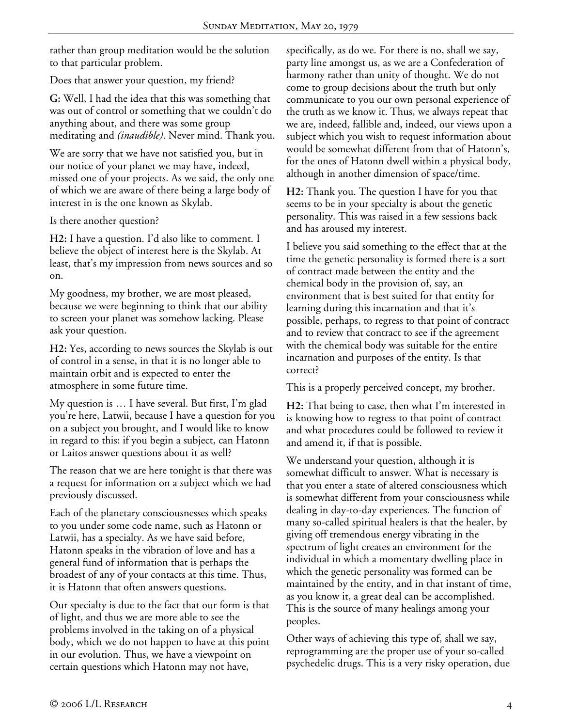rather than group meditation would be the solution to that particular problem.

Does that answer your question, my friend?

**G:** Well, I had the idea that this was something that was out of control or something that we couldn't do anything about, and there was some group meditating and *(inaudible)*. Never mind. Thank you.

We are sorry that we have not satisfied you, but in our notice of your planet we may have, indeed, missed one of your projects. As we said, the only one of which we are aware of there being a large body of interest in is the one known as Skylab.

Is there another question?

**H2:** I have a question. I'd also like to comment. I believe the object of interest here is the Skylab. At least, that's my impression from news sources and so on.

My goodness, my brother, we are most pleased, because we were beginning to think that our ability to screen your planet was somehow lacking. Please ask your question.

**H2:** Yes, according to news sources the Skylab is out of control in a sense, in that it is no longer able to maintain orbit and is expected to enter the atmosphere in some future time.

My question is … I have several. But first, I'm glad you're here, Latwii, because I have a question for you on a subject you brought, and I would like to know in regard to this: if you begin a subject, can Hatonn or Laitos answer questions about it as well?

The reason that we are here tonight is that there was a request for information on a subject which we had previously discussed.

Each of the planetary consciousnesses which speaks to you under some code name, such as Hatonn or Latwii, has a specialty. As we have said before, Hatonn speaks in the vibration of love and has a general fund of information that is perhaps the broadest of any of your contacts at this time. Thus, it is Hatonn that often answers questions.

Our specialty is due to the fact that our form is that of light, and thus we are more able to see the problems involved in the taking on of a physical body, which we do not happen to have at this point in our evolution. Thus, we have a viewpoint on certain questions which Hatonn may not have,

specifically, as do we. For there is no, shall we say, party line amongst us, as we are a Confederation of harmony rather than unity of thought. We do not come to group decisions about the truth but only communicate to you our own personal experience of the truth as we know it. Thus, we always repeat that we are, indeed, fallible and, indeed, our views upon a subject which you wish to request information about would be somewhat different from that of Hatonn's, for the ones of Hatonn dwell within a physical body, although in another dimension of space/time.

**H2:** Thank you. The question I have for you that seems to be in your specialty is about the genetic personality. This was raised in a few sessions back and has aroused my interest.

I believe you said something to the effect that at the time the genetic personality is formed there is a sort of contract made between the entity and the chemical body in the provision of, say, an environment that is best suited for that entity for learning during this incarnation and that it's possible, perhaps, to regress to that point of contract and to review that contract to see if the agreement with the chemical body was suitable for the entire incarnation and purposes of the entity. Is that correct?

This is a properly perceived concept, my brother.

**H2:** That being to case, then what I'm interested in is knowing how to regress to that point of contract and what procedures could be followed to review it and amend it, if that is possible.

We understand your question, although it is somewhat difficult to answer. What is necessary is that you enter a state of altered consciousness which is somewhat different from your consciousness while dealing in day-to-day experiences. The function of many so-called spiritual healers is that the healer, by giving off tremendous energy vibrating in the spectrum of light creates an environment for the individual in which a momentary dwelling place in which the genetic personality was formed can be maintained by the entity, and in that instant of time, as you know it, a great deal can be accomplished. This is the source of many healings among your peoples.

Other ways of achieving this type of, shall we say, reprogramming are the proper use of your so-called psychedelic drugs. This is a very risky operation, due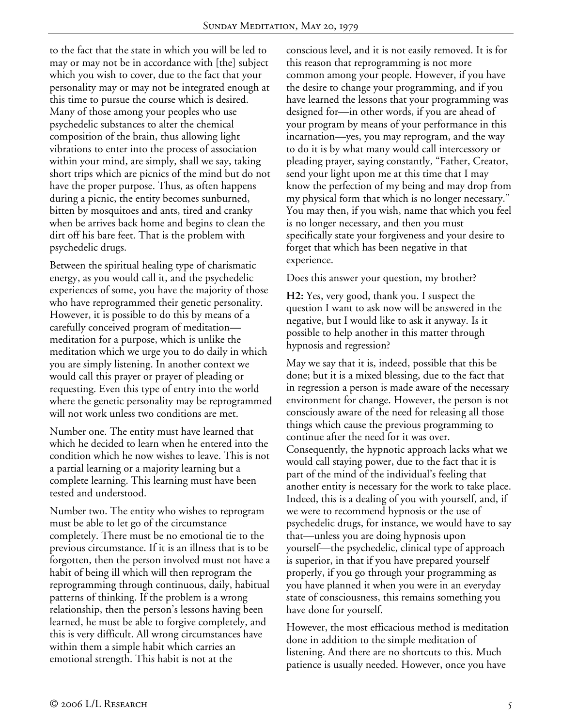to the fact that the state in which you will be led to may or may not be in accordance with [the] subject which you wish to cover, due to the fact that your personality may or may not be integrated enough at this time to pursue the course which is desired. Many of those among your peoples who use psychedelic substances to alter the chemical composition of the brain, thus allowing light vibrations to enter into the process of association within your mind, are simply, shall we say, taking short trips which are picnics of the mind but do not have the proper purpose. Thus, as often happens during a picnic, the entity becomes sunburned, bitten by mosquitoes and ants, tired and cranky when be arrives back home and begins to clean the dirt off his bare feet. That is the problem with psychedelic drugs.

Between the spiritual healing type of charismatic energy, as you would call it, and the psychedelic experiences of some, you have the majority of those who have reprogrammed their genetic personality. However, it is possible to do this by means of a carefully conceived program of meditation meditation for a purpose, which is unlike the meditation which we urge you to do daily in which you are simply listening. In another context we would call this prayer or prayer of pleading or requesting. Even this type of entry into the world where the genetic personality may be reprogrammed will not work unless two conditions are met.

Number one. The entity must have learned that which he decided to learn when he entered into the condition which he now wishes to leave. This is not a partial learning or a majority learning but a complete learning. This learning must have been tested and understood.

Number two. The entity who wishes to reprogram must be able to let go of the circumstance completely. There must be no emotional tie to the previous circumstance. If it is an illness that is to be forgotten, then the person involved must not have a habit of being ill which will then reprogram the reprogramming through continuous, daily, habitual patterns of thinking. If the problem is a wrong relationship, then the person's lessons having been learned, he must be able to forgive completely, and this is very difficult. All wrong circumstances have within them a simple habit which carries an emotional strength. This habit is not at the

conscious level, and it is not easily removed. It is for this reason that reprogramming is not more common among your people. However, if you have the desire to change your programming, and if you have learned the lessons that your programming was designed for—in other words, if you are ahead of your program by means of your performance in this incarnation—yes, you may reprogram, and the way to do it is by what many would call intercessory or pleading prayer, saying constantly, "Father, Creator, send your light upon me at this time that I may know the perfection of my being and may drop from my physical form that which is no longer necessary." You may then, if you wish, name that which you feel is no longer necessary, and then you must specifically state your forgiveness and your desire to forget that which has been negative in that experience.

Does this answer your question, my brother?

**H2:** Yes, very good, thank you. I suspect the question I want to ask now will be answered in the negative, but I would like to ask it anyway. Is it possible to help another in this matter through hypnosis and regression?

May we say that it is, indeed, possible that this be done; but it is a mixed blessing, due to the fact that in regression a person is made aware of the necessary environment for change. However, the person is not consciously aware of the need for releasing all those things which cause the previous programming to continue after the need for it was over. Consequently, the hypnotic approach lacks what we would call staying power, due to the fact that it is part of the mind of the individual's feeling that another entity is necessary for the work to take place. Indeed, this is a dealing of you with yourself, and, if we were to recommend hypnosis or the use of psychedelic drugs, for instance, we would have to say that—unless you are doing hypnosis upon yourself—the psychedelic, clinical type of approach is superior, in that if you have prepared yourself properly, if you go through your programming as you have planned it when you were in an everyday state of consciousness, this remains something you have done for yourself.

However, the most efficacious method is meditation done in addition to the simple meditation of listening. And there are no shortcuts to this. Much patience is usually needed. However, once you have